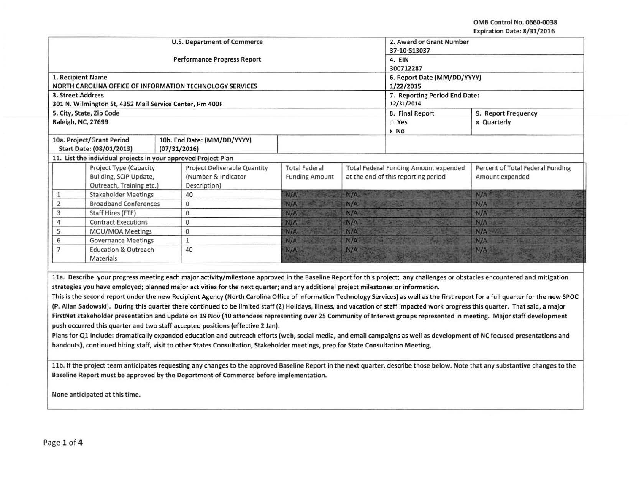OMS Control No. 0660-0038 Expiration Date: 8/31/2016

| 1. Recipient Name<br><b>3. Street Address</b><br>301 N. Wilmington St, 4352 Mail Service Center, Rm 400F<br>5. City, State, Zip Code<br>Raleigh, NC, 27699 |                                                                                                      | <b>Performance Progress Report</b><br>NORTH CAROLINA OFFICE OF INFORMATION TECHNOLOGY SERVICES |                                               |                                                                                     | 4. EIN<br>300712287<br>6. Report Date (MM/DD/YYYY)<br>1/22/2015<br>7. Reporting Period End Date: |                                                     |  |  |
|------------------------------------------------------------------------------------------------------------------------------------------------------------|------------------------------------------------------------------------------------------------------|------------------------------------------------------------------------------------------------|-----------------------------------------------|-------------------------------------------------------------------------------------|--------------------------------------------------------------------------------------------------|-----------------------------------------------------|--|--|
|                                                                                                                                                            |                                                                                                      |                                                                                                |                                               |                                                                                     |                                                                                                  |                                                     |  |  |
|                                                                                                                                                            |                                                                                                      |                                                                                                |                                               |                                                                                     |                                                                                                  |                                                     |  |  |
|                                                                                                                                                            |                                                                                                      |                                                                                                |                                               |                                                                                     |                                                                                                  |                                                     |  |  |
|                                                                                                                                                            |                                                                                                      |                                                                                                |                                               |                                                                                     | 12/31/2014                                                                                       |                                                     |  |  |
|                                                                                                                                                            |                                                                                                      |                                                                                                |                                               |                                                                                     | 8. Final Report<br>9. Report Frequency                                                           |                                                     |  |  |
|                                                                                                                                                            |                                                                                                      |                                                                                                |                                               |                                                                                     |                                                                                                  |                                                     |  |  |
|                                                                                                                                                            |                                                                                                      |                                                                                                |                                               |                                                                                     | $\square$ Yes<br>x No                                                                            | x Quarterly                                         |  |  |
|                                                                                                                                                            | 10a. Project/Grant Period<br>10b. End Date: (MM/DD/YYYY)<br>Start Date: (08/01/2013)<br>(07/31/2016) |                                                                                                |                                               |                                                                                     |                                                                                                  |                                                     |  |  |
|                                                                                                                                                            |                                                                                                      | 11. List the individual projects in your approved Project Plan                                 |                                               |                                                                                     |                                                                                                  |                                                     |  |  |
| Project Type (Capacity<br>Building, SCIP Update,                                                                                                           |                                                                                                      | <b>Project Deliverable Quantity</b><br>(Number & Indicator                                     | <b>Total Federal</b><br><b>Funding Amount</b> | <b>Total Federal Funding Amount expended</b><br>at the end of this reporting period |                                                                                                  | Percent of Total Federal Funding<br>Amount expended |  |  |
| Outreach, Training etc.)                                                                                                                                   |                                                                                                      | Description)                                                                                   |                                               |                                                                                     |                                                                                                  |                                                     |  |  |
| 1                                                                                                                                                          | <b>Stakeholder Meetings</b>                                                                          | 40                                                                                             | N/A                                           | N/A                                                                                 |                                                                                                  | N/A                                                 |  |  |
| $\overline{2}$<br><b>Broadband Conferences</b>                                                                                                             |                                                                                                      | $\mathbf{0}$                                                                                   | N/A                                           | N/A                                                                                 |                                                                                                  | N/A                                                 |  |  |
| 3<br>Staff Hires (FTE)                                                                                                                                     |                                                                                                      | 0                                                                                              | N/A                                           | N/A                                                                                 |                                                                                                  | N/A                                                 |  |  |
| <b>Contract Executions</b><br>4                                                                                                                            |                                                                                                      | 0                                                                                              | N/A                                           | N/A                                                                                 |                                                                                                  | N/A                                                 |  |  |
| 5<br>MOU/MOA Meetings                                                                                                                                      |                                                                                                      | $\mathbf{0}$                                                                                   | N/A                                           | N/A                                                                                 |                                                                                                  | N/A                                                 |  |  |
| 6<br>7                                                                                                                                                     | <b>Governance Meetings</b><br>$\mathbf{1}$                                                           |                                                                                                | N/A                                           | N/A                                                                                 |                                                                                                  | N/A                                                 |  |  |
| <b>Education &amp; Outreach</b><br>40<br>Materials                                                                                                         |                                                                                                      |                                                                                                | N/A                                           | N/A                                                                                 |                                                                                                  | N/A                                                 |  |  |

Plans for Q1 include: dramatically expanded education and outreach efforts (web, social media, and email campaigns as well as development of NC focused presentations and handouts), continued hiring staff, visit to other States Consultation, Stakeholder meetings, prep for State Consultation Meeting,

11b. If the project team anticipates requesting any changes to the approved Baseline Report in the next quarter, describe those below. Note that any substantive changes to the Baseline Report must be approved by the Department of Commerce before implementation.

None anticipated at this time.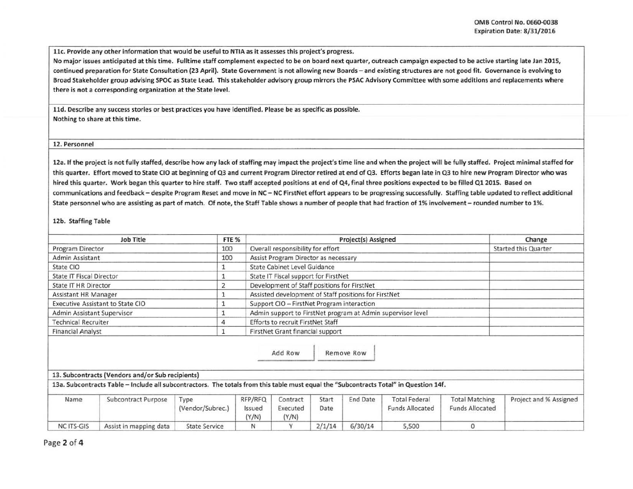llc. Provide any other information that would be useful to NTIA as it assesses this project's progress.

No major issues anticipated at this time. Fulltime staff complement expected to be on board next quarter, outreach campaign expected to be active starting late Jan 201S, continued preparation for State Consultation (23 April). State Government is not allowing new Boards- and existing structures are not good fit. Governance is evolving to Broad Stakeholder group advising SPOC as State lead. This stakeholder advisory group mirrors the PSAC Advisory Committee with some additions and replacements where there is not a corresponding organization at the State level.

lld. Describe any success stories or best practices you have identified. Please be as specific as possible. Nothing to share at this time.

## 12. Personnel

12a. If the project is not fully staffed, describe how any lack of staffing may impact the project's time line and when the project will be fully staffed. Project minimal staffed for this quarter. Effort moved to State CIO at beginning of Q3 and current Program Director retired at end of Q3. Efforts began late in Q3 to hire new Program Director who was hired this quarter. Work began this quarter to hire staff. Two staff accepted positions at end of Q4, final three positions expected to be filled Q1 2015. Based on communications and feedback - despite Program Reset and move in NC - NC FirstNet effort appears to be progressing successfully. Staffing table updated to reflect additional State personnel who are assisting as part of match. Of note, the Staff Table shows a number of people that had fraction of 1% involvement - rounded number to 1%.

## 12b. Staffing Table

|                                 | <b>Job Title</b>                                                                                                                      | FTE %                    |                            | Project(s) Assigned                                  |               |            |                                                             | Change                                          |                             |
|---------------------------------|---------------------------------------------------------------------------------------------------------------------------------------|--------------------------|----------------------------|------------------------------------------------------|---------------|------------|-------------------------------------------------------------|-------------------------------------------------|-----------------------------|
| Program Director                |                                                                                                                                       | 100                      |                            | Overall responsibility for effort                    |               |            |                                                             |                                                 | <b>Started this Quarter</b> |
| Admin Assistant                 |                                                                                                                                       | 100                      |                            | Assist Program Director as necessary                 |               |            |                                                             |                                                 |                             |
| State CIO                       |                                                                                                                                       |                          |                            | <b>State Cabinet Level Guidance</b>                  |               |            |                                                             |                                                 |                             |
| <b>State IT Fiscal Director</b> |                                                                                                                                       |                          |                            | State IT Fiscal support for FirstNet                 |               |            |                                                             |                                                 |                             |
| <b>State IT HR Director</b>     |                                                                                                                                       | 2                        |                            | Development of Staff positions for FirstNet          |               |            |                                                             |                                                 |                             |
| Assistant HR Manager            |                                                                                                                                       |                          |                            | Assisted development of Staff positions for FirstNet |               |            |                                                             |                                                 |                             |
|                                 | Executive Assistant to State CIO                                                                                                      |                          |                            | Support CIO - FirstNet Program interaction           |               |            |                                                             |                                                 |                             |
|                                 | Admin Assistant Supervisor                                                                                                            |                          |                            |                                                      |               |            | Admin support to FirstNet program at Admin supervisor level |                                                 |                             |
| <b>Technical Recruiter</b><br>4 |                                                                                                                                       |                          |                            | <b>Efforts to recruit FirstNet Staff</b>             |               |            |                                                             |                                                 |                             |
|                                 | <b>Financial Analyst</b>                                                                                                              |                          |                            | FirstNet Grant financial support                     |               |            |                                                             |                                                 |                             |
|                                 |                                                                                                                                       |                          |                            | Add Row                                              |               | Remove Row |                                                             |                                                 |                             |
|                                 | 13. Subcontracts (Vendors and/or Sub recipients)                                                                                      |                          |                            |                                                      |               |            |                                                             |                                                 |                             |
|                                 | 13a. Subcontracts Table - Include all subcontractors. The totals from this table must equal the "Subcontracts Total" in Question 14f. |                          |                            |                                                      |               |            |                                                             |                                                 |                             |
| Name                            | Subcontract Purpose                                                                                                                   | Type<br>(Vendor/Subrec.) | RFP/RFQ<br>Issued<br>(Y/N) | Contract<br>Executed<br>(Y/N)                        | Start<br>Date | End Date   | <b>Total Federal</b><br><b>Funds Allocated</b>              | <b>Total Matching</b><br><b>Funds Allocated</b> | Project and % Assigned      |
| <b>NC ITS-GIS</b>               | Assist in mapping data                                                                                                                | <b>State Service</b>     | N                          |                                                      | 2/1/14        | 6/30/14    | 5,500                                                       | $\Omega$                                        |                             |

Page 2 of 4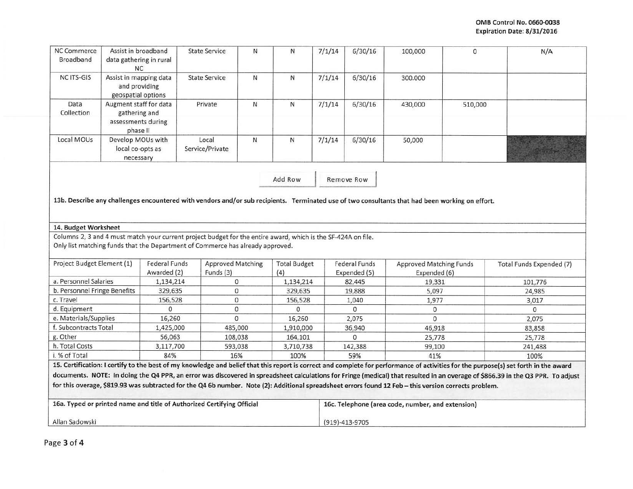| <b>NC Commerce</b><br>Broadband                                                    | Assist in broadband<br>data gathering in rural<br><b>NC</b>               |                          | <b>State Service</b>                                                                                          | $\mathsf{N}$ | N                   | 7/1/14 | 6/30/16                | 100,000                                                                                                                                               | $\Omega$ | N/A                                                                                                                                                                                                                                                                                                                                                                     |
|------------------------------------------------------------------------------------|---------------------------------------------------------------------------|--------------------------|---------------------------------------------------------------------------------------------------------------|--------------|---------------------|--------|------------------------|-------------------------------------------------------------------------------------------------------------------------------------------------------|----------|-------------------------------------------------------------------------------------------------------------------------------------------------------------------------------------------------------------------------------------------------------------------------------------------------------------------------------------------------------------------------|
| NC ITS-GIS                                                                         | Assist in mapping data<br>and providing<br>geospatial options             |                          | <b>State Service</b>                                                                                          | N            | N                   | 7/1/14 | 6/30/16                | 300.000                                                                                                                                               |          |                                                                                                                                                                                                                                                                                                                                                                         |
| Data<br>Collection                                                                 | Augment staff for data<br>gathering and<br>assessments during<br>phase II |                          | Private                                                                                                       | $\mathsf{N}$ | N                   | 7/1/14 | 6/30/16                | 430,000                                                                                                                                               | 510,000  |                                                                                                                                                                                                                                                                                                                                                                         |
| Local MOUs                                                                         | Develop MOUs with<br>local co-opts as<br>necessary                        |                          | Local<br>Service/Private                                                                                      | ${\sf N}$    | N                   | 7/1/14 | 6/30/16                | 50,000                                                                                                                                                |          |                                                                                                                                                                                                                                                                                                                                                                         |
|                                                                                    |                                                                           |                          |                                                                                                               |              | Add Row             |        | Remove Row             |                                                                                                                                                       |          |                                                                                                                                                                                                                                                                                                                                                                         |
|                                                                                    |                                                                           |                          |                                                                                                               |              |                     |        |                        | 13b. Describe any challenges encountered with vendors and/or sub recipients. Terminated use of two consultants that had been working on effort.       |          |                                                                                                                                                                                                                                                                                                                                                                         |
|                                                                                    |                                                                           |                          |                                                                                                               |              |                     |        |                        |                                                                                                                                                       |          |                                                                                                                                                                                                                                                                                                                                                                         |
| 14. Budget Worksheet                                                               |                                                                           |                          |                                                                                                               |              |                     |        |                        |                                                                                                                                                       |          |                                                                                                                                                                                                                                                                                                                                                                         |
|                                                                                    |                                                                           |                          | Columns 2, 3 and 4 must match your current project budget for the entire award, which is the SF-424A on file. |              |                     |        |                        |                                                                                                                                                       |          |                                                                                                                                                                                                                                                                                                                                                                         |
|                                                                                    |                                                                           |                          | Only list matching funds that the Department of Commerce has already approved.                                |              |                     |        |                        |                                                                                                                                                       |          |                                                                                                                                                                                                                                                                                                                                                                         |
| Project Budget Element (1)                                                         |                                                                           | <b>Federal Funds</b>     | <b>Approved Matching</b>                                                                                      |              | <b>Total Budget</b> |        | <b>Federal Funds</b>   | <b>Approved Matching Funds</b>                                                                                                                        |          | Total Funds Expended (7)                                                                                                                                                                                                                                                                                                                                                |
|                                                                                    |                                                                           | Awarded (2)<br>1,134,214 | Funds (3)<br>0                                                                                                |              | (4)<br>1,134,214    |        | Expended (5)<br>82,445 | Expended (6)<br>19,331                                                                                                                                |          | 101,776                                                                                                                                                                                                                                                                                                                                                                 |
|                                                                                    |                                                                           | 329,635                  | $\mathbf{0}$                                                                                                  |              | 329,635             |        | 19,888                 | 5,097                                                                                                                                                 |          | 24,985                                                                                                                                                                                                                                                                                                                                                                  |
|                                                                                    |                                                                           | 156,528                  | $\mathbf{O}$                                                                                                  |              | 156,528             |        | 1,040                  | 1,977                                                                                                                                                 |          | 3,017                                                                                                                                                                                                                                                                                                                                                                   |
| a. Personnel Salaries<br>b. Personnel Fringe Benefits<br>c. Travel<br>d. Equipment |                                                                           | 0                        | 0                                                                                                             |              | $\mathbf{0}$        |        | 0                      | 0                                                                                                                                                     |          | $\mathbf{0}$                                                                                                                                                                                                                                                                                                                                                            |
| e. Materials/Supplies                                                              |                                                                           | 16,260                   | $\Omega$                                                                                                      |              | 16,260              |        | 2,075                  | $\Omega$                                                                                                                                              |          | 2,075                                                                                                                                                                                                                                                                                                                                                                   |
|                                                                                    |                                                                           | 1,425,000                | 485,000                                                                                                       |              | 1,910,000           |        | 36,940                 | 46,918                                                                                                                                                |          | 83,858                                                                                                                                                                                                                                                                                                                                                                  |
|                                                                                    |                                                                           | 56,063                   | 108,038                                                                                                       |              | 164,101             |        | $\Omega$               | 25,778                                                                                                                                                |          | 25,778                                                                                                                                                                                                                                                                                                                                                                  |
|                                                                                    |                                                                           | 3,117,700                | 593,038                                                                                                       |              | 3,710,738           |        | 142,388                | 99,100                                                                                                                                                |          | 241,488                                                                                                                                                                                                                                                                                                                                                                 |
| f. Subcontracts Total<br>g. Other<br>h. Total Costs<br>i. % of Total               |                                                                           | 84%                      | 16%                                                                                                           |              | 100%                |        | 59%                    | 41%                                                                                                                                                   |          | 100%                                                                                                                                                                                                                                                                                                                                                                    |
|                                                                                    |                                                                           |                          |                                                                                                               |              |                     |        |                        | for this overage, \$819.93 was subtracted for the Q4 6b number. Note (2): Additional spreadsheet errors found 12 Feb - this version corrects problem. |          | 15. Certification: I certify to the best of my knowledge and belief that this report is correct and complete for performance of activities for the purpose(s) set forth in the award<br>documents. NOTE: In doing the Q4 PPR, an error was discovered in spreadsheet calculations for Fringe (medical) that resulted in an overage of \$866.39 in the Q3 PPR. To adjust |
|                                                                                    |                                                                           |                          | 16a. Typed or printed name and title of Authorized Certifying Official                                        |              |                     |        |                        | 16c. Telephone (area code, number, and extension)                                                                                                     |          |                                                                                                                                                                                                                                                                                                                                                                         |